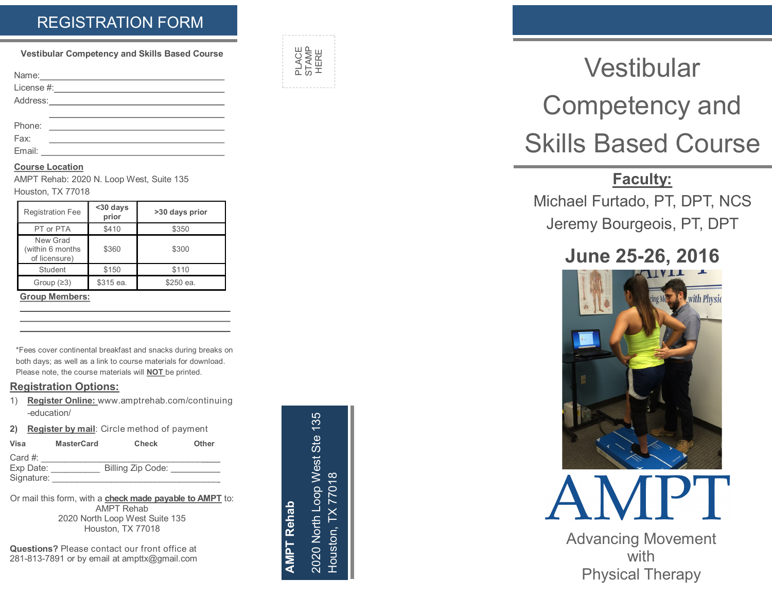## REGISTRATION FORM

**Vestibular Competency and Skills Based Course**

| Name:                                                                                                          |  |  |
|----------------------------------------------------------------------------------------------------------------|--|--|
|                                                                                                                |  |  |
| Address: 2008 and 2008 and 2008 and 2008 and 2008 and 2008 and 2008 and 2008 and 2008 and 2008 and 2008 and 20 |  |  |
|                                                                                                                |  |  |
| Phone:                                                                                                         |  |  |

Fax:

Email:

#### **Course Location**

AMPT Rehab: 2020 N. Loop West, Suite 135

Houston, TX 77018

| <b>Registration Fee</b>                       | <30 days<br>prior | >30 days prior |
|-----------------------------------------------|-------------------|----------------|
| PT or PTA                                     | \$410             | \$350          |
| New Grad<br>(within 6 months<br>of licensure) | \$360             | \$300          |
| Student                                       | \$150             | \$110          |
| Group $(23)$                                  | \$315 ea.         | \$250 ea.      |

**Group Members:**

\*Fees cover continental breakfast and snacks during breaks on both days; as well as a link to course materials for download. Please note, the course materials will **NOT** be printed.

#### **Registration Options:**

- 1) **Register Online:** www.amptrehab.com/continuing -education/
- **2) Register by mail**: Circle method of payment

| Visa       | <b>MasterCard</b> | <b>Check</b>      | <b>Other</b> |
|------------|-------------------|-------------------|--------------|
| Card $#$ : |                   |                   |              |
| Exp Date:  |                   | Billing Zip Code: |              |
| Signature: |                   |                   |              |

Or mail this form, with a **check made payable to AMPT** to: AMPT Rehab 2020 North Loop West Suite 135 Houston, TX 77018

**Questions?** Please contact our front office at 281 -813 -7891 or by email at ampttx@gmail.com

PLACE<br>STAMP<br>Houston, TX 77018<br>PLACE Step 135 2020 North Loop West Ste 135 2020 North Loop West Ste 135 Houston, TX 77018 **AMPT Rehab**

PLACE<br>STAMP<br>HERE

# **Vestibular** Competency and Skills Based Course

# **Faculty:**

Michael Furtado, PT, DPT, NCS Jeremy Bourgeois, PT, DPT

# **June 25 -26, 2016**





Advancing Movement with Physical Therapy